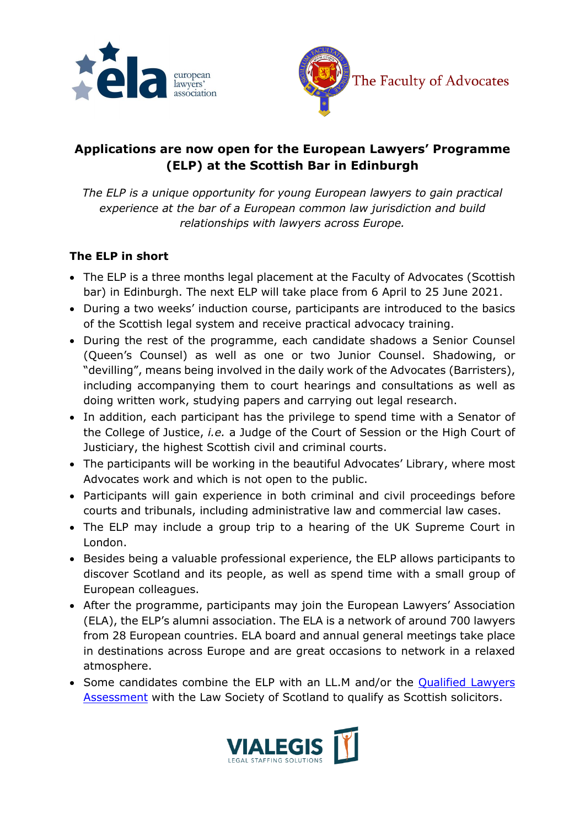



# **Applications are now open for the European Lawyers' Programme (ELP) at the Scottish Bar in Edinburgh**

*The ELP is a unique opportunity for young European lawyers to gain practical experience at the bar of a European common law jurisdiction and build relationships with lawyers across Europe.*

### **The ELP in short**

- The ELP is a three months legal placement at the Faculty of Advocates (Scottish bar) in Edinburgh. The next ELP will take place from 6 April to 25 June 2021.
- During a two weeks' induction course, participants are introduced to the basics of the Scottish legal system and receive practical advocacy training.
- During the rest of the programme, each candidate shadows a Senior Counsel (Queen's Counsel) as well as one or two Junior Counsel. Shadowing, or "devilling", means being involved in the daily work of the Advocates (Barristers), including accompanying them to court hearings and consultations as well as doing written work, studying papers and carrying out legal research.
- In addition, each participant has the privilege to spend time with a Senator of the College of Justice, *i.e.* a Judge of the Court of Session or the High Court of Justiciary, the highest Scottish civil and criminal courts.
- The participants will be working in the beautiful Advocates' Library, where most Advocates work and which is not open to the public.
- Participants will gain experience in both criminal and civil proceedings before courts and tribunals, including administrative law and commercial law cases.
- The ELP may include a group trip to a hearing of the UK Supreme Court in London.
- Besides being a valuable professional experience, the ELP allows participants to discover Scotland and its people, as well as spend time with a small group of European colleagues.
- After the programme, participants may join the European Lawyers' Association (ELA), the ELP's alumni association. The ELA is a network of around 700 lawyers from 28 European countries. ELA board and annual general meetings take place in destinations across Europe and are great occasions to network in a relaxed atmosphere.
- Some candidates combine the ELP with an LL.M and/or the [Qualified Lawyers](https://www.lawscot.org.uk/qualifying-and-education/qualifying-as-a-scottish-solicitor/requalifying-into-scotland/)  [Assessment](https://www.lawscot.org.uk/qualifying-and-education/qualifying-as-a-scottish-solicitor/requalifying-into-scotland/) with the Law Society of Scotland to qualify as Scottish solicitors.